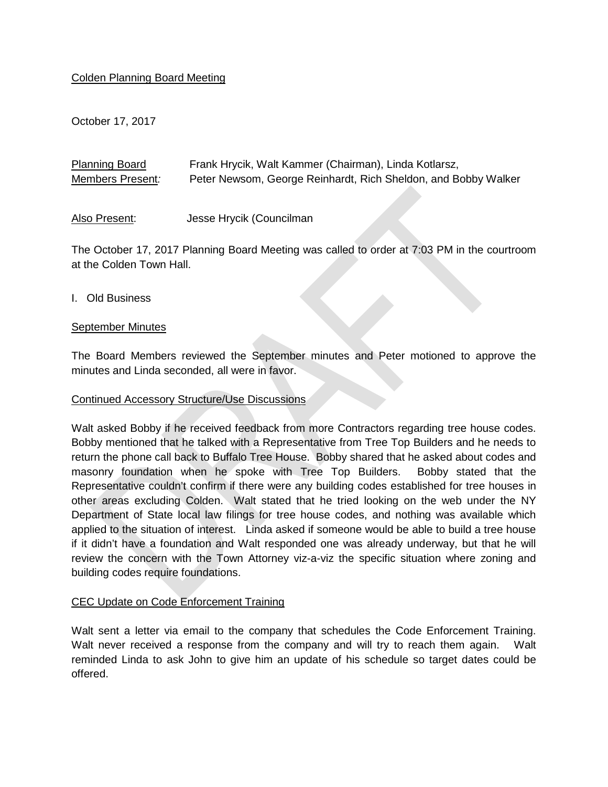# Colden Planning Board Meeting

October 17, 2017

| <b>Planning Board</b> | Frank Hrycik, Walt Kammer (Chairman), Linda Kotlarsz,          |
|-----------------------|----------------------------------------------------------------|
| Members Present:      | Peter Newsom, George Reinhardt, Rich Sheldon, and Bobby Walker |
|                       |                                                                |

Also Present: Jesse Hrycik (Councilman

The October 17, 2017 Planning Board Meeting was called to order at 7:03 PM in the courtroom at the Colden Town Hall.

I. Old Business

### September Minutes

The Board Members reviewed the September minutes and Peter motioned to approve the minutes and Linda seconded, all were in favor.

#### Continued Accessory Structure/Use Discussions

Walt asked Bobby if he received feedback from more Contractors regarding tree house codes. Bobby mentioned that he talked with a Representative from Tree Top Builders and he needs to return the phone call back to Buffalo Tree House. Bobby shared that he asked about codes and masonry foundation when he spoke with Tree Top Builders. Bobby stated that the Representative couldn't confirm if there were any building codes established for tree houses in other areas excluding Colden. Walt stated that he tried looking on the web under the NY Department of State local law filings for tree house codes, and nothing was available which applied to the situation of interest. Linda asked if someone would be able to build a tree house if it didn't have a foundation and Walt responded one was already underway, but that he will review the concern with the Town Attorney viz-a-viz the specific situation where zoning and building codes require foundations.

#### CEC Update on Code Enforcement Training

Walt sent a letter via email to the company that schedules the Code Enforcement Training. Walt never received a response from the company and will try to reach them again. Walt reminded Linda to ask John to give him an update of his schedule so target dates could be offered.